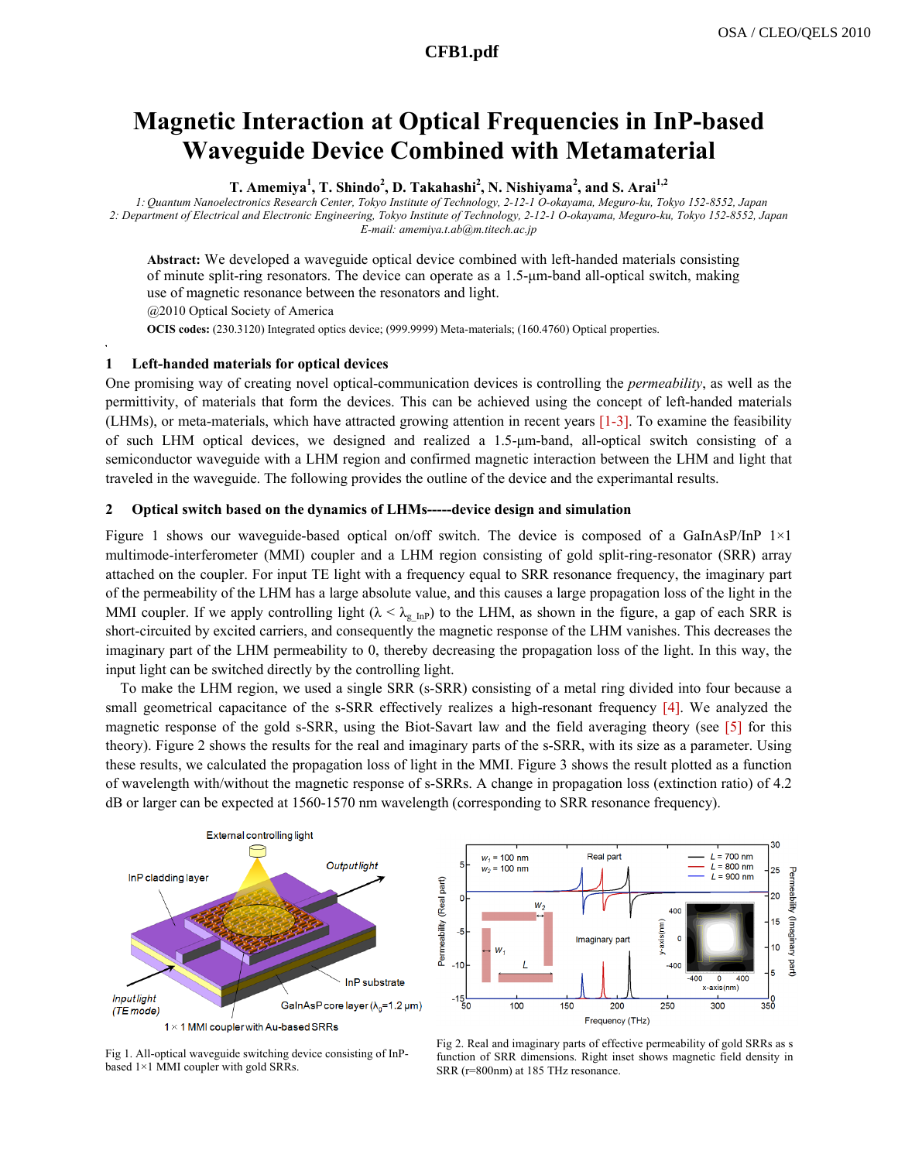# **Magnetic Interaction at Optical Frequencies in InP-based Waveguide Device Combined with Metamaterial**

**T. Amemiya<sup>1</sup> , T. Shindo<sup>2</sup> , D. Takahashi2 , N. Nishiyama<sup>2</sup> , and S. Arai1,2**

 *1: Quantum Nanoelectronics Research Center, Tokyo Institute of Technology, 2-12-1 O-okayama, Meguro-ku, Tokyo 152-8552, Japan 2: Department of Electrical and Electronic Engineering, Tokyo Institute of Technology, 2-12-1 O-okayama, Meguro-ku, Tokyo 152-8552, Japan E-mail: amemiya.t.ab@m.titech.ac.jp* 

**Abstract:** We developed a waveguide optical device combined with left-handed materials consisting of minute split-ring resonators. The device can operate as a 1.5-μm-band all-optical switch, making use of magnetic resonance between the resonators and light. @2010 Optical Society of America

**OCIS codes:** (230.3120) Integrated optics device; (999.9999) Meta-materials; (160.4760) Optical properties.

## **1 Left-handed materials for optical devices**

One promising way of creating novel optical-communication devices is controlling the *permeability*, as well as the permittivity, of materials that form the devices. This can be achieved using the concept of left-handed materials (LHMs), or meta-materials, which have attracted growing attention in recent years [1-3]. To examine the feasibility of such LHM optical devices, we designed and realized a 1.5-μm-band, all-optical switch consisting of a semiconductor waveguide with a LHM region and confirmed magnetic interaction between the LHM and light that traveled in the waveguide. The following provides the outline of the device and the experimantal results.

## **2 Optical switch based on the dynamics of LHMs-----device design and simulation**

Figure 1 shows our waveguide-based optical on/off switch. The device is composed of a GaInAsP/InP  $1\times1$ multimode-interferometer (MMI) coupler and a LHM region consisting of gold split-ring-resonator (SRR) array attached on the coupler. For input TE light with a frequency equal to SRR resonance frequency, the imaginary part of the permeability of the LHM has a large absolute value, and this causes a large propagation loss of the light in the MMI coupler. If we apply controlling light ( $\lambda < \lambda_{\rm g~InP}$ ) to the LHM, as shown in the figure, a gap of each SRR is short-circuited by excited carriers, and consequently the magnetic response of the LHM vanishes. This decreases the imaginary part of the LHM permeability to 0, thereby decreasing the propagation loss of the light. In this way, the input light can be switched directly by the controlling light.

To make the LHM region, we used a single SRR (s-SRR) consisting of a metal ring divided into four because a small geometrical capacitance of the s-SRR effectively realizes a high-resonant frequency [4]. We analyzed the magnetic response of the gold s-SRR, using the Biot-Savart law and the field averaging theory (see [5] for this theory). Figure 2 shows the results for the real and imaginary parts of the s-SRR, with its size as a parameter. Using these results, we calculated the propagation loss of light in the MMI. Figure 3 shows the result plotted as a function of wavelength with/without the magnetic response of s-SRRs. A change in propagation loss (extinction ratio) of 4.2 dB or larger can be expected at 1560-1570 nm wavelength (corresponding to SRR resonance frequency).





Fig 1. All-optical waveguide switching device consisting of InPbased 1×1 MMI coupler with gold SRRs.

Fig 2. Real and imaginary parts of effective permeability of gold SRRs as s function of SRR dimensions. Right inset shows magnetic field density in SRR (r=800nm) at 185 THz resonance.